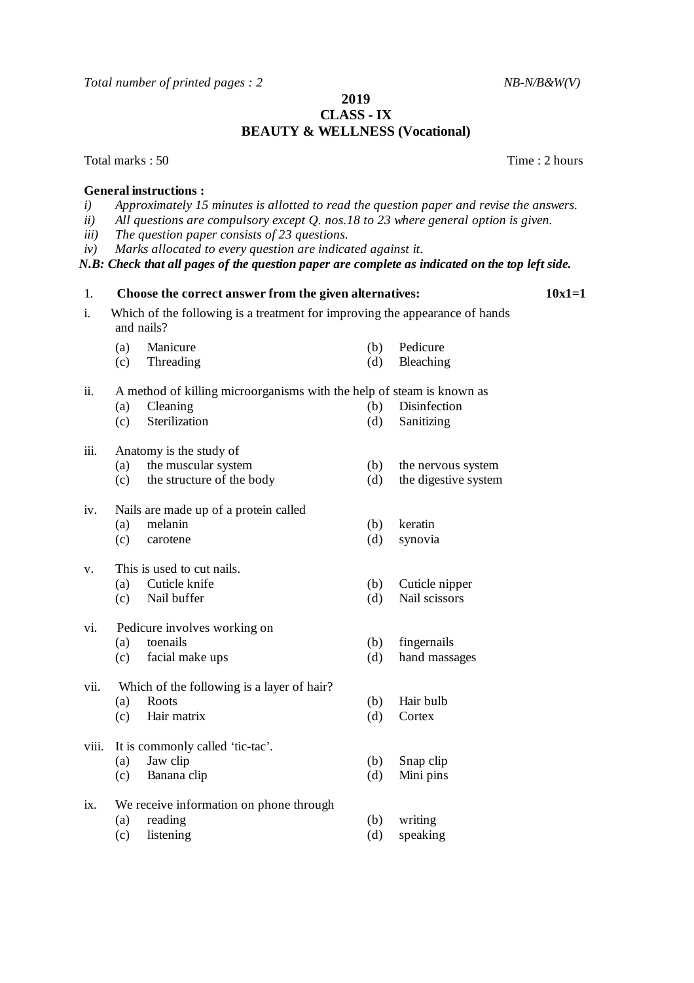*Total number of printed pages : 2 NB-N/B&W(V)*

## **2019 CLASS - IX BEAUTY & WELLNESS (Vocational)**

Total marks : 50 Total marks : 50 Total marks : 50 Total marks : 50 Total marks : 50 Total marks : 50 Total marks : 50 Total marks : 50 Total marks : 50 Total marks : 50 Total marks : 50 Total marks : 50 Total marks : 50 T

## **General instructions :**

- *i) Approximately 15 minutes is allotted to read the question paper and revise the answers.*
- *ii) All questions are compulsory except Q. nos.18 to 23 where general option is given.*
- *iii) The question paper consists of 23 questions.*
- *iv) Marks allocated to every question are indicated against it.*

*N.B: Check that all pages of the question paper are complete as indicated on the top left side.*

- i. Which of the following is a treatment for improving the appearance of hands and nails?
	- (a) Manicure (b) Pedicure
	- (c) Threading (d) Bleaching

ii. A method of killing microorganisms with the help of steam is known as

- (a) Cleaning (b) Disinfection (c) Sterilization (d) Sanitizing
- 

## iii. Anatomy is the study of

- 
- (a) the muscular system (b) the nervous system (c) the structure of the body (d) the digestive system  $(c)$  the structure of the body
- iv. Nails are made up of a protein called
	- (a) melanin (b) keratin
	- (c) carotene (d) synovia
- v. This is used to cut nails.
	-
	- (c) Nail buffer (d) Nail scissors
- vi. Pedicure involves working on
	-
	- (c) facial make ups (d) hand massages
- vii. Which of the following is a layer of hair?
	-
	- (c) Hair matrix (d) Cortex
- viii. It is commonly called 'tic-tac'.
	-
	- (c) Banana clip (d) Mini pins
- ix. We receive information on phone through
	-
	- (c) listening (d) speaking
- 
- 
- 
- (a) Cuticle knife (b) Cuticle nipper<br>
(c) Nail buffer (d) Nail scissors
	-
- (a) toenails (b) fingernails
	-
- (a) Roots (b) Hair bulb
	-
- (a) Jaw clip (b) Snap clip
	-
- (a) reading (b) writing
	-

1. **Choose the correct answer from the given alternatives: 10x1=1**